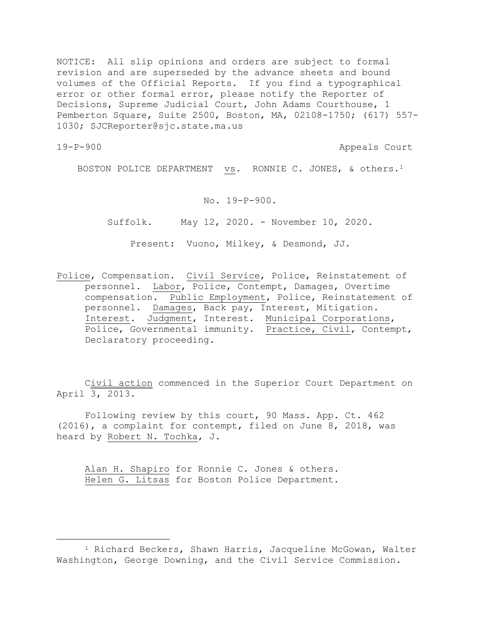NOTICE: All slip opinions and orders are subject to formal revision and are superseded by the advance sheets and bound volumes of the Official Reports. If you find a typographical error or other formal error, please notify the Reporter of Decisions, Supreme Judicial Court, John Adams Courthouse, 1 Pemberton Square, Suite 2500, Boston, MA, 02108-1750; (617) 557- 1030; SJCReporter@sjc.state.ma.us

a<br>B

19-P-900 Appeals Court

BOSTON POLICE DEPARTMENT vs. RONNIE C. JONES, & others.<sup>1</sup>

No. 19-P-900.

Suffolk. May 12, 2020. - November 10, 2020.

Present: Vuono, Milkey, & Desmond, JJ.

Police, Compensation. Civil Service, Police, Reinstatement of personnel. Labor, Police, Contempt, Damages, Overtime compensation. Public Employment, Police, Reinstatement of personnel. Damages, Back pay, Interest, Mitigation. Interest. Judgment, Interest. Municipal Corporations, Police, Governmental immunity. Practice, Civil, Contempt, Declaratory proceeding.

Civil action commenced in the Superior Court Department on April 3, 2013.

Following review by this court, 90 Mass. App. Ct. 462 (2016), a complaint for contempt, filed on June 8, 2018, was heard by Robert N. Tochka, J.

Alan H. Shapiro for Ronnie C. Jones & others. Helen G. Litsas for Boston Police Department.

<sup>1</sup> Richard Beckers, Shawn Harris, Jacqueline McGowan, Walter Washington, George Downing, and the Civil Service Commission.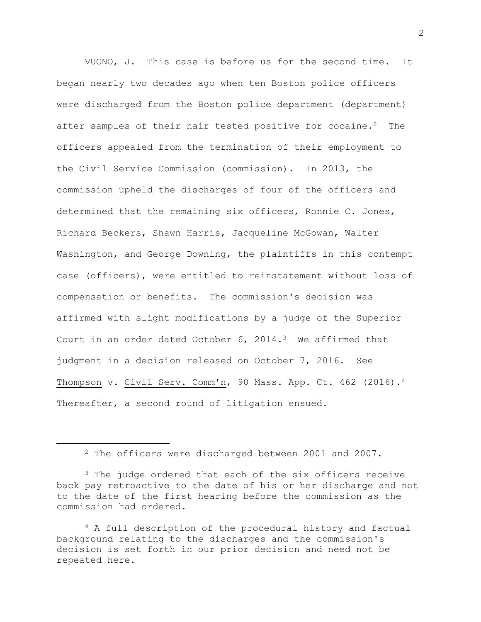VUONO, J. This case is before us for the second time. It began nearly two decades ago when ten Boston police officers were discharged from the Boston police department (department) after samples of their hair tested positive for cocaine.<sup>2</sup> The officers appealed from the termination of their employment to the Civil Service Commission (commission). In 2013, the commission upheld the discharges of four of the officers and determined that the remaining six officers, Ronnie C. Jones, Richard Beckers, Shawn Harris, Jacqueline McGowan, Walter Washington, and George Downing, the plaintiffs in this contempt case (officers), were entitled to reinstatement without loss of compensation or benefits. The commission's decision was affirmed with slight modifications by a judge of the Superior Court in an order dated October 6, 2014.3 We affirmed that judgment in a decision released on October 7, 2016. See Thompson v. Civil Serv. Comm'n, 90 Mass. App. Ct. 462 (2016).<sup>4</sup> Thereafter, a second round of litigation ensued.

a<br>B

<sup>4</sup> A full description of the procedural history and factual background relating to the discharges and the commission's decision is set forth in our prior decision and need not be repeated here.

<sup>2</sup> The officers were discharged between 2001 and 2007.

<sup>&</sup>lt;sup>3</sup> The judge ordered that each of the six officers receive back pay retroactive to the date of his or her discharge and not to the date of the first hearing before the commission as the commission had ordered.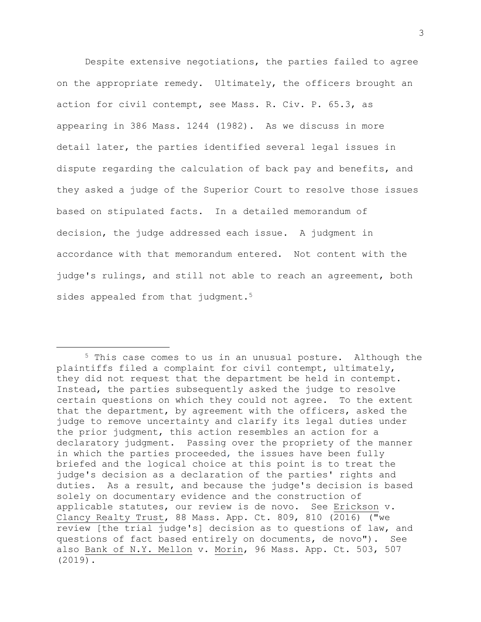Despite extensive negotiations, the parties failed to agree on the appropriate remedy. Ultimately, the officers brought an action for civil contempt, see Mass. R. Civ. P. 65.3, as appearing in 386 Mass. 1244 (1982). As we discuss in more detail later, the parties identified several legal issues in dispute regarding the calculation of back pay and benefits, and they asked a judge of the Superior Court to resolve those issues based on stipulated facts. In a detailed memorandum of decision, the judge addressed each issue. A judgment in accordance with that memorandum entered. Not content with the judge's rulings, and still not able to reach an agreement, both sides appealed from that judgment.<sup>5</sup>

a<br>B

<sup>5</sup> This case comes to us in an unusual posture. Although the plaintiffs filed a complaint for civil contempt, ultimately, they did not request that the department be held in contempt. Instead, the parties subsequently asked the judge to resolve certain questions on which they could not agree. To the extent that the department, by agreement with the officers, asked the judge to remove uncertainty and clarify its legal duties under the prior judgment, this action resembles an action for a declaratory judgment. Passing over the propriety of the manner in which the parties proceeded, the issues have been fully briefed and the logical choice at this point is to treat the judge's decision as a declaration of the parties' rights and duties. As a result, and because the judge's decision is based solely on documentary evidence and the construction of applicable statutes, our review is de novo. See Erickson v. Clancy Realty Trust, 88 Mass. App. Ct. 809, 810 (2016) ("we review [the trial judge's] decision as to questions of law, and questions of fact based entirely on documents, de novo"). See also Bank of N.Y. Mellon v. Morin, 96 Mass. App. Ct. 503, 507 (2019).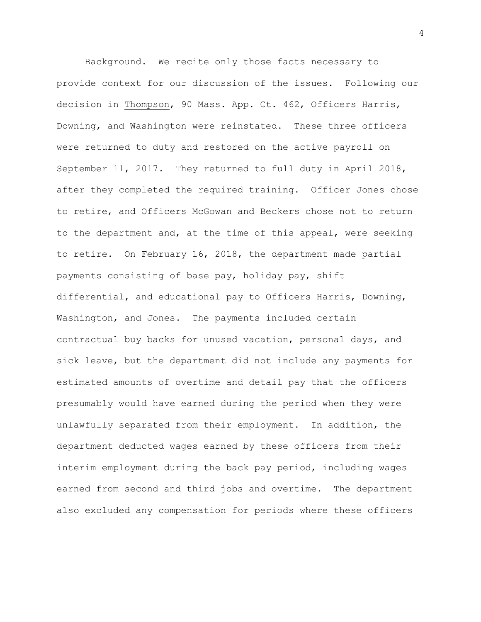Background. We recite only those facts necessary to provide context for our discussion of the issues. Following our decision in Thompson, 90 Mass. App. Ct. 462, Officers Harris, Downing, and Washington were reinstated. These three officers were returned to duty and restored on the active payroll on September 11, 2017. They returned to full duty in April 2018, after they completed the required training. Officer Jones chose to retire, and Officers McGowan and Beckers chose not to return to the department and, at the time of this appeal, were seeking to retire. On February 16, 2018, the department made partial payments consisting of base pay, holiday pay, shift differential, and educational pay to Officers Harris, Downing, Washington, and Jones. The payments included certain contractual buy backs for unused vacation, personal days, and sick leave, but the department did not include any payments for estimated amounts of overtime and detail pay that the officers presumably would have earned during the period when they were unlawfully separated from their employment. In addition, the department deducted wages earned by these officers from their interim employment during the back pay period, including wages earned from second and third jobs and overtime. The department also excluded any compensation for periods where these officers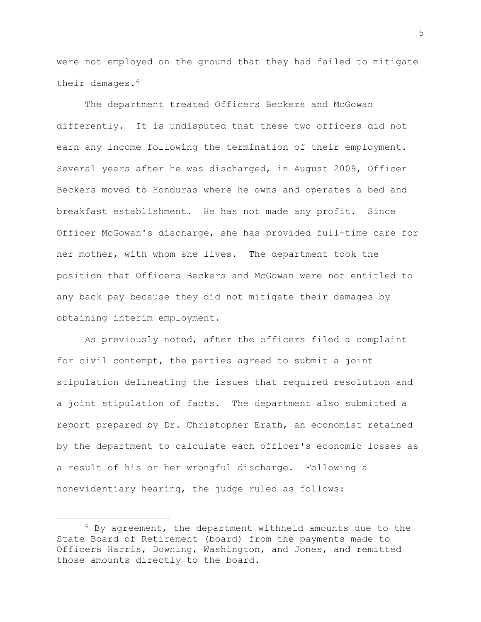were not employed on the ground that they had failed to mitigate their damages.<sup>6</sup>

The department treated Officers Beckers and McGowan differently. It is undisputed that these two officers did not earn any income following the termination of their employment. Several years after he was discharged, in August 2009, Officer Beckers moved to Honduras where he owns and operates a bed and breakfast establishment. He has not made any profit. Since Officer McGowan's discharge, she has provided full-time care for her mother, with whom she lives. The department took the position that Officers Beckers and McGowan were not entitled to any back pay because they did not mitigate their damages by obtaining interim employment.

As previously noted, after the officers filed a complaint for civil contempt, the parties agreed to submit a joint stipulation delineating the issues that required resolution and a joint stipulation of facts. The department also submitted a report prepared by Dr. Christopher Erath, an economist retained by the department to calculate each officer's economic losses as a result of his or her wrongful discharge. Following a nonevidentiary hearing, the judge ruled as follows:

a<br>B

<sup>6</sup> By agreement, the department withheld amounts due to the State Board of Retirement (board) from the payments made to Officers Harris, Downing, Washington, and Jones, and remitted those amounts directly to the board.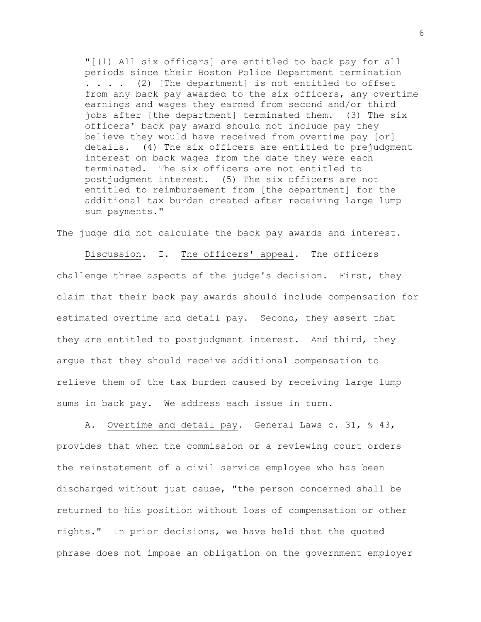"[(1) All six officers] are entitled to back pay for all periods since their Boston Police Department termination . . . . (2) [The department] is not entitled to offset from any back pay awarded to the six officers, any overtime earnings and wages they earned from second and/or third jobs after [the department] terminated them. (3) The six officers' back pay award should not include pay they believe they would have received from overtime pay [or] details. (4) The six officers are entitled to prejudgment interest on back wages from the date they were each terminated. The six officers are not entitled to postjudgment interest. (5) The six officers are not entitled to reimbursement from [the department] for the additional tax burden created after receiving large lump sum payments."

The judge did not calculate the back pay awards and interest.

Discussion. I. The officers' appeal. The officers challenge three aspects of the judge's decision. First, they claim that their back pay awards should include compensation for estimated overtime and detail pay. Second, they assert that they are entitled to postjudgment interest. And third, they argue that they should receive additional compensation to relieve them of the tax burden caused by receiving large lump sums in back pay. We address each issue in turn.

A. Overtime and detail pay. General Laws c. 31, § 43, provides that when the commission or a reviewing court orders the reinstatement of a civil service employee who has been discharged without just cause, "the person concerned shall be returned to his position without loss of compensation or other rights." In prior decisions, we have held that the quoted phrase does not impose an obligation on the government employer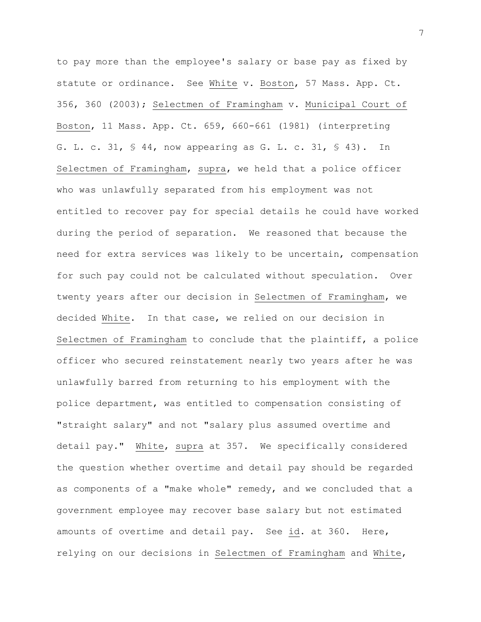to pay more than the employee's salary or base pay as fixed by statute or ordinance. See White v. Boston, 57 Mass. App. Ct. 356, 360 (2003); Selectmen of Framingham v. Municipal Court of Boston, 11 Mass. App. Ct. 659, 660-661 (1981) (interpreting G. L. c. 31, § 44, now appearing as G. L. c. 31, § 43). In Selectmen of Framingham, supra, we held that a police officer who was unlawfully separated from his employment was not entitled to recover pay for special details he could have worked during the period of separation. We reasoned that because the need for extra services was likely to be uncertain, compensation for such pay could not be calculated without speculation. Over twenty years after our decision in Selectmen of Framingham, we decided White. In that case, we relied on our decision in Selectmen of Framingham to conclude that the plaintiff, a police officer who secured reinstatement nearly two years after he was unlawfully barred from returning to his employment with the police department, was entitled to compensation consisting of "straight salary" and not "salary plus assumed overtime and detail pay." White, supra at 357. We specifically considered the question whether overtime and detail pay should be regarded as components of a "make whole" remedy, and we concluded that a government employee may recover base salary but not estimated amounts of overtime and detail pay. See id. at 360. Here, relying on our decisions in Selectmen of Framingham and White,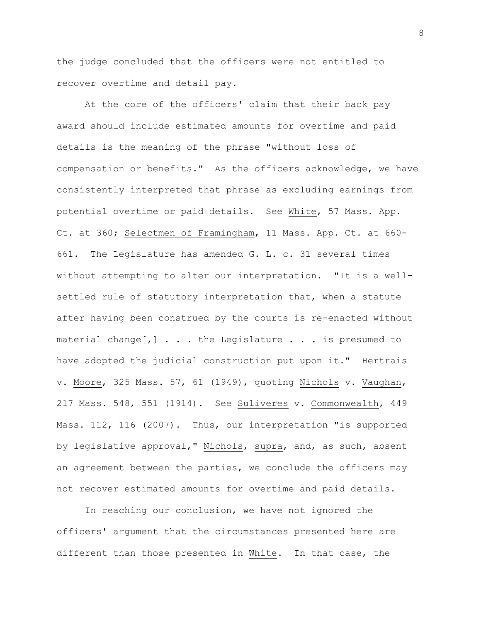the judge concluded that the officers were not entitled to recover overtime and detail pay.

At the core of the officers' claim that their back pay award should include estimated amounts for overtime and paid details is the meaning of the phrase "without loss of compensation or benefits." As the officers acknowledge, we have consistently interpreted that phrase as excluding earnings from potential overtime or paid details. See White, 57 Mass. App. Ct. at 360; Selectmen of Framingham, 11 Mass. App. Ct. at 660- 661. The Legislature has amended G. L. c. 31 several times without attempting to alter our interpretation. "It is a wellsettled rule of statutory interpretation that, when a statute after having been construed by the courts is re-enacted without material change $[,]$  . . . the Legislature . . . is presumed to have adopted the judicial construction put upon it." Hertrais v. Moore, 325 Mass. 57, 61 (1949), quoting Nichols v. Vaughan, 217 Mass. 548, 551 (1914). See Suliveres v. Commonwealth, 449 Mass. 112, 116 (2007). Thus, our interpretation "is supported by legislative approval," Nichols, supra, and, as such, absent an agreement between the parties, we conclude the officers may not recover estimated amounts for overtime and paid details.

In reaching our conclusion, we have not ignored the officers' argument that the circumstances presented here are different than those presented in White. In that case, the

8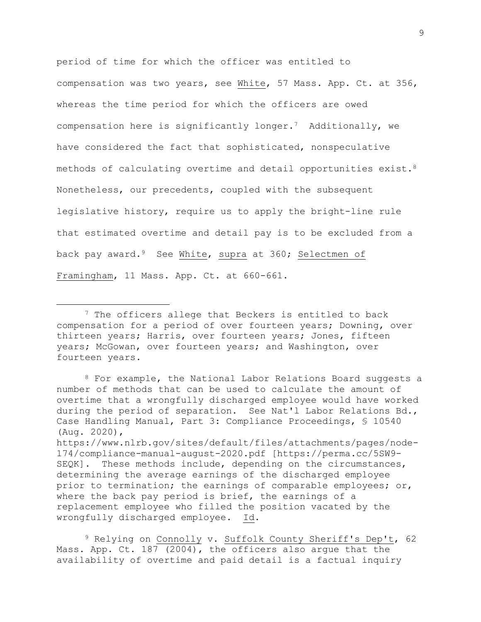period of time for which the officer was entitled to compensation was two years, see White, 57 Mass. App. Ct. at 356, whereas the time period for which the officers are owed compensation here is significantly longer.7 Additionally, we have considered the fact that sophisticated, nonspeculative methods of calculating overtime and detail opportunities exist.<sup>8</sup> Nonetheless, our precedents, coupled with the subsequent legislative history, require us to apply the bright-line rule that estimated overtime and detail pay is to be excluded from a back pay award.9 See White, supra at 360; Selectmen of Framingham, 11 Mass. App. Ct. at 660-661.

wrongfully discharged employee. Id.

i<br>L

<sup>9</sup> Relying on Connolly v. Suffolk County Sheriff's Dep't, 62 Mass. App. Ct. 187 (2004), the officers also argue that the availability of overtime and paid detail is a factual inquiry

<sup>&</sup>lt;sup>7</sup> The officers allege that Beckers is entitled to back compensation for a period of over fourteen years; Downing, over thirteen years; Harris, over fourteen years; Jones, fifteen years; McGowan, over fourteen years; and Washington, over fourteen years.

<sup>8</sup> For example, the National Labor Relations Board suggests a number of methods that can be used to calculate the amount of overtime that a wrongfully discharged employee would have worked during the period of separation. See Nat'l Labor Relations Bd., Case Handling Manual, Part 3: Compliance Proceedings, § 10540 (Aug. 2020), https://www.nlrb.gov/sites/default/files/attachments/pages/node-174/compliance-manual-august-2020.pdf [https://perma.cc/5SW9- SEQK]. These methods include, depending on the circumstances, determining the average earnings of the discharged employee prior to termination; the earnings of comparable employees; or, where the back pay period is brief, the earnings of a replacement employee who filled the position vacated by the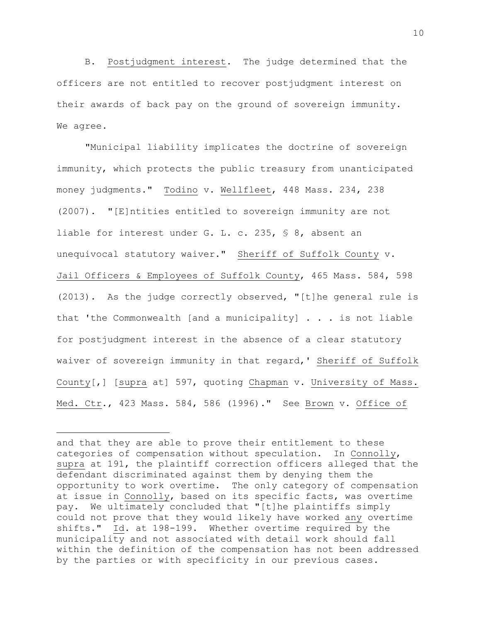B. Postjudgment interest. The judge determined that the officers are not entitled to recover postjudgment interest on their awards of back pay on the ground of sovereign immunity. We agree.

"Municipal liability implicates the doctrine of sovereign immunity, which protects the public treasury from unanticipated money judgments." Todino v. Wellfleet, 448 Mass. 234, 238 (2007). "[E]ntities entitled to sovereign immunity are not liable for interest under G. L. c. 235, § 8, absent an unequivocal statutory waiver." Sheriff of Suffolk County v. Jail Officers & Employees of Suffolk County, 465 Mass. 584, 598 (2013). As the judge correctly observed, "[t]he general rule is that 'the Commonwealth [and a municipality]  $\ldots$  is not liable for postjudgment interest in the absence of a clear statutory waiver of sovereign immunity in that regard,' Sheriff of Suffolk County[,] [supra at] 597, quoting Chapman v. University of Mass. Med. Ctr., 423 Mass. 584, 586 (1996)." See Brown v. Office of

and that they are able to prove their entitlement to these categories of compensation without speculation. In Connolly, supra at 191, the plaintiff correction officers alleged that the defendant discriminated against them by denying them the opportunity to work overtime. The only category of compensation at issue in Connolly, based on its specific facts, was overtime pay. We ultimately concluded that "[t]he plaintiffs simply could not prove that they would likely have worked any overtime shifts." Id. at 198-199. Whether overtime required by the municipality and not associated with detail work should fall within the definition of the compensation has not been addressed by the parties or with specificity in our previous cases.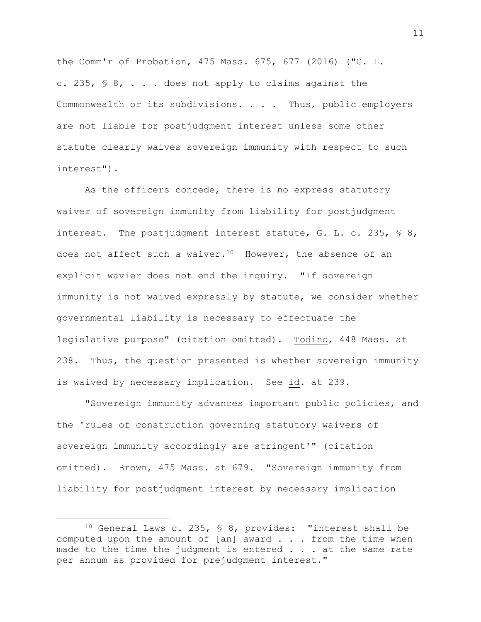the Comm'r of Probation, 475 Mass. 675, 677 (2016) ("G. L. c. 235,  $\frac{6}{5}$  8, ... does not apply to claims against the Commonwealth or its subdivisions. . . . Thus, public employers are not liable for postjudgment interest unless some other statute clearly waives sovereign immunity with respect to such interest").

As the officers concede, there is no express statutory waiver of sovereign immunity from liability for postjudgment interest. The postjudgment interest statute, G. L. c. 235, § 8, does not affect such a waiver.<sup>10</sup> However, the absence of an explicit wavier does not end the inquiry. "If sovereign immunity is not waived expressly by statute, we consider whether governmental liability is necessary to effectuate the legislative purpose" (citation omitted). Todino, 448 Mass. at 238. Thus, the question presented is whether sovereign immunity is waived by necessary implication. See id. at 239.

"Sovereign immunity advances important public policies, and the 'rules of construction governing statutory waivers of sovereign immunity accordingly are stringent'" (citation omitted). Brown, 475 Mass. at 679. "Sovereign immunity from liability for postjudgment interest by necessary implication

<sup>10</sup> General Laws c. 235, § 8, provides: "interest shall be computed upon the amount of [an] award . . . from the time when made to the time the judgment is entered . . . at the same rate per annum as provided for prejudgment interest."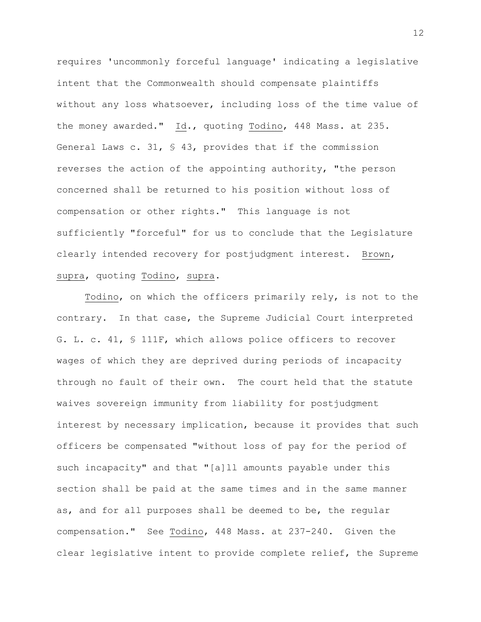requires 'uncommonly forceful language' indicating a legislative intent that the Commonwealth should compensate plaintiffs without any loss whatsoever, including loss of the time value of the money awarded." Id., quoting Todino, 448 Mass. at 235. General Laws c. 31, § 43, provides that if the commission reverses the action of the appointing authority, "the person concerned shall be returned to his position without loss of compensation or other rights." This language is not sufficiently "forceful" for us to conclude that the Legislature clearly intended recovery for postjudgment interest. Brown, supra, quoting Todino, supra.

Todino, on which the officers primarily rely, is not to the contrary. In that case, the Supreme Judicial Court interpreted G. L. c. 41, § 111F, which allows police officers to recover wages of which they are deprived during periods of incapacity through no fault of their own. The court held that the statute waives sovereign immunity from liability for postjudgment interest by necessary implication, because it provides that such officers be compensated "without loss of pay for the period of such incapacity" and that "[a]ll amounts payable under this section shall be paid at the same times and in the same manner as, and for all purposes shall be deemed to be, the regular compensation." See Todino, 448 Mass. at 237-240. Given the clear legislative intent to provide complete relief, the Supreme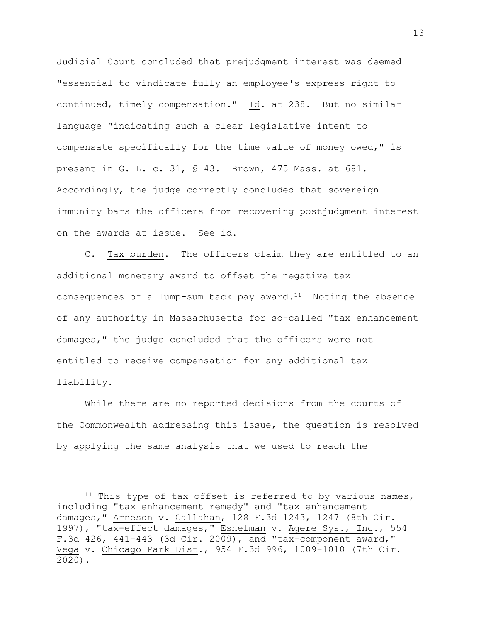Judicial Court concluded that prejudgment interest was deemed "essential to vindicate fully an employee's express right to continued, timely compensation." Id. at 238. But no similar language "indicating such a clear legislative intent to compensate specifically for the time value of money owed," is present in G. L. c. 31, § 43. Brown, 475 Mass. at 681. Accordingly, the judge correctly concluded that sovereign immunity bars the officers from recovering postjudgment interest on the awards at issue. See id.

C. Tax burden. The officers claim they are entitled to an additional monetary award to offset the negative tax consequences of a lump-sum back pay award. $11$  Noting the absence of any authority in Massachusetts for so-called "tax enhancement damages," the judge concluded that the officers were not entitled to receive compensation for any additional tax liability.

While there are no reported decisions from the courts of the Commonwealth addressing this issue, the question is resolved by applying the same analysis that we used to reach the

 $11$  This type of tax offset is referred to by various names, including "tax enhancement remedy" and "tax enhancement damages," Arneson v. Callahan, 128 F.3d 1243, 1247 (8th Cir. 1997), "tax-effect damages," Eshelman v. Agere Sys., Inc., 554 F.3d 426, 441-443 (3d Cir. 2009), and "tax-component award," Vega v. Chicago Park Dist., 954 F.3d 996, 1009-1010 (7th Cir. 2020).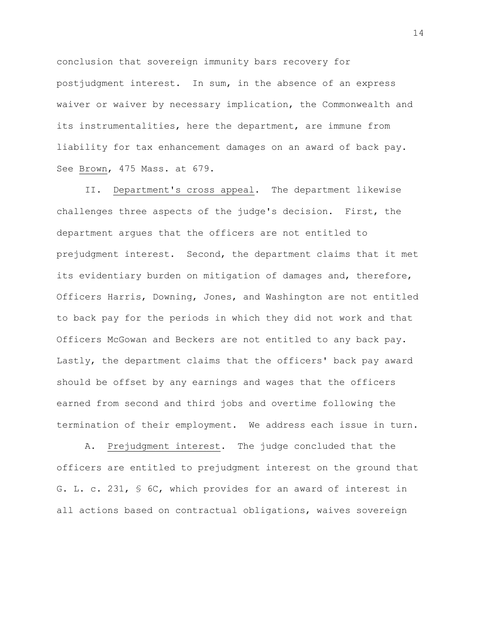conclusion that sovereign immunity bars recovery for postjudgment interest. In sum, in the absence of an express waiver or waiver by necessary implication, the Commonwealth and its instrumentalities, here the department, are immune from liability for tax enhancement damages on an award of back pay. See Brown, 475 Mass. at 679.

II. Department's cross appeal. The department likewise challenges three aspects of the judge's decision. First, the department argues that the officers are not entitled to prejudgment interest. Second, the department claims that it met its evidentiary burden on mitigation of damages and, therefore, Officers Harris, Downing, Jones, and Washington are not entitled to back pay for the periods in which they did not work and that Officers McGowan and Beckers are not entitled to any back pay. Lastly, the department claims that the officers' back pay award should be offset by any earnings and wages that the officers earned from second and third jobs and overtime following the termination of their employment. We address each issue in turn.

A. Prejudgment interest. The judge concluded that the officers are entitled to prejudgment interest on the ground that G. L. c. 231, § 6C, which provides for an award of interest in all actions based on contractual obligations, waives sovereign

14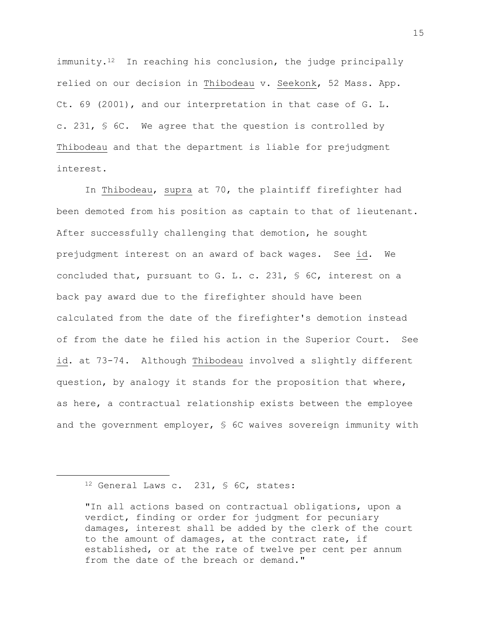immunity.<sup>12</sup> In reaching his conclusion, the judge principally relied on our decision in Thibodeau v. Seekonk, 52 Mass. App. Ct. 69 (2001), and our interpretation in that case of G. L. c. 231, § 6C. We agree that the question is controlled by Thibodeau and that the department is liable for prejudgment interest.

In Thibodeau, supra at 70, the plaintiff firefighter had been demoted from his position as captain to that of lieutenant. After successfully challenging that demotion, he sought prejudgment interest on an award of back wages. See id. We concluded that, pursuant to G. L. c. 231, § 6C, interest on a back pay award due to the firefighter should have been calculated from the date of the firefighter's demotion instead of from the date he filed his action in the Superior Court. See id. at 73-74. Although Thibodeau involved a slightly different question, by analogy it stands for the proposition that where, as here, a contractual relationship exists between the employee and the government employer, § 6C waives sovereign immunity with

<sup>12</sup> General Laws c. 231, § 6C, states:

<sup>&</sup>quot;In all actions based on contractual obligations, upon a verdict, finding or order for judgment for pecuniary damages, interest shall be added by the clerk of the court to the amount of damages, at the contract rate, if established, or at the rate of twelve per cent per annum from the date of the breach or demand."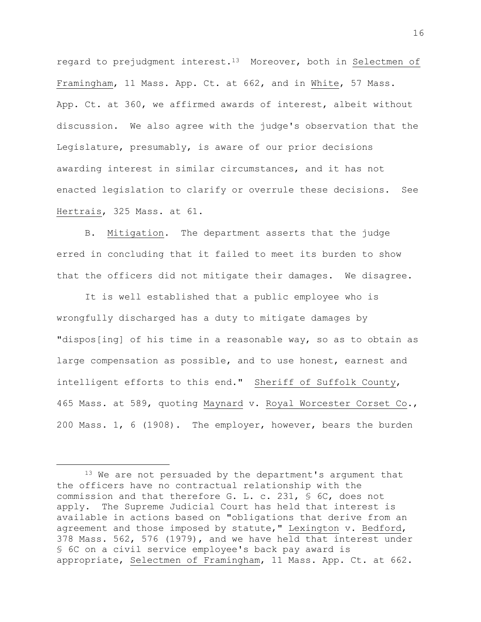regard to prejudgment interest.<sup>13</sup> Moreover, both in Selectmen of Framingham, 11 Mass. App. Ct. at 662, and in White, 57 Mass. App. Ct. at 360, we affirmed awards of interest, albeit without discussion. We also agree with the judge's observation that the Legislature, presumably, is aware of our prior decisions awarding interest in similar circumstances, and it has not enacted legislation to clarify or overrule these decisions. See Hertrais, 325 Mass. at 61.

B. Mitigation. The department asserts that the judge erred in concluding that it failed to meet its burden to show that the officers did not mitigate their damages. We disagree.

It is well established that a public employee who is wrongfully discharged has a duty to mitigate damages by "dispos[ing] of his time in a reasonable way, so as to obtain as large compensation as possible, and to use honest, earnest and intelligent efforts to this end." Sheriff of Suffolk County, 465 Mass. at 589, quoting Maynard v. Royal Worcester Corset Co., 200 Mass. 1, 6 (1908). The employer, however, bears the burden

<sup>&</sup>lt;sup>13</sup> We are not persuaded by the department's argument that the officers have no contractual relationship with the commission and that therefore G. L. c. 231, § 6C, does not apply. The Supreme Judicial Court has held that interest is available in actions based on "obligations that derive from an agreement and those imposed by statute," Lexington v. Bedford, 378 Mass. 562, 576 (1979), and we have held that interest under § 6C on a civil service employee's back pay award is appropriate, Selectmen of Framingham, 11 Mass. App. Ct. at 662.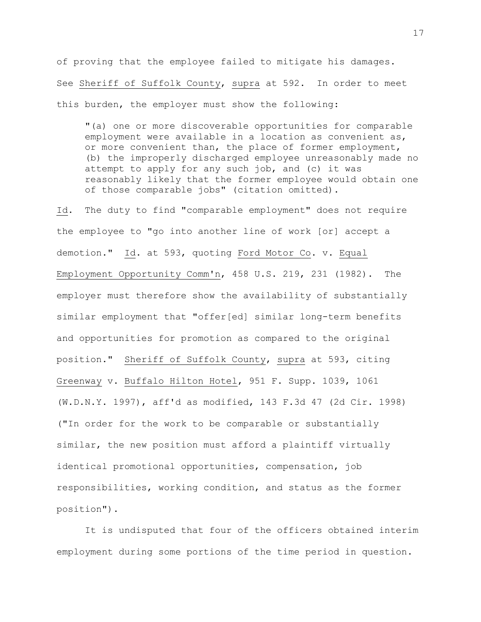of proving that the employee failed to mitigate his damages. See Sheriff of Suffolk County, supra at 592. In order to meet this burden, the employer must show the following:

"(a) one or more discoverable opportunities for comparable employment were available in a location as convenient as, or more convenient than, the place of former employment, (b) the improperly discharged employee unreasonably made no attempt to apply for any such job, and (c) it was reasonably likely that the former employee would obtain one of those comparable jobs" (citation omitted).

Id. The duty to find "comparable employment" does not require the employee to "go into another line of work [or] accept a demotion." Id. at 593, quoting Ford Motor Co. v. Equal Employment Opportunity Comm'n, 458 U.S. 219, 231 (1982). The employer must therefore show the availability of substantially similar employment that "offer[ed] similar long-term benefits and opportunities for promotion as compared to the original position." Sheriff of Suffolk County, supra at 593, citing Greenway v. Buffalo Hilton Hotel, 951 F. Supp. 1039, 1061 (W.D.N.Y. 1997), aff'd as modified, 143 F.3d 47 (2d Cir. 1998) ("In order for the work to be comparable or substantially similar, the new position must afford a plaintiff virtually identical promotional opportunities, compensation, job responsibilities, working condition, and status as the former position").

It is undisputed that four of the officers obtained interim employment during some portions of the time period in question.

17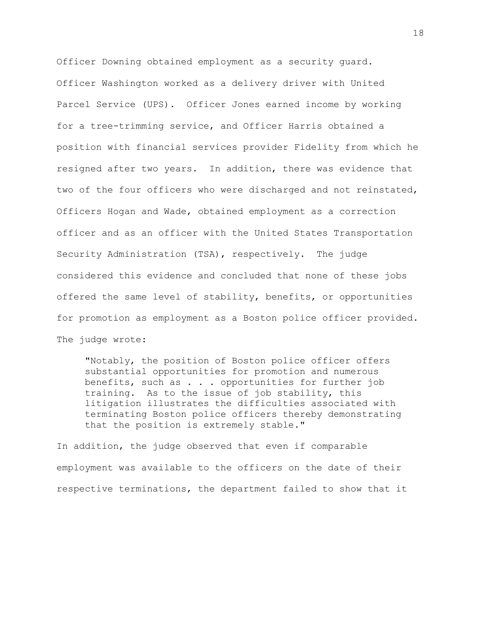Officer Downing obtained employment as a security guard. Officer Washington worked as a delivery driver with United Parcel Service (UPS). Officer Jones earned income by working for a tree-trimming service, and Officer Harris obtained a position with financial services provider Fidelity from which he resigned after two years. In addition, there was evidence that two of the four officers who were discharged and not reinstated, Officers Hogan and Wade, obtained employment as a correction officer and as an officer with the United States Transportation Security Administration (TSA), respectively. The judge considered this evidence and concluded that none of these jobs offered the same level of stability, benefits, or opportunities for promotion as employment as a Boston police officer provided. The judge wrote:

"Notably, the position of Boston police officer offers substantial opportunities for promotion and numerous benefits, such as . . . opportunities for further job training. As to the issue of job stability, this litigation illustrates the difficulties associated with terminating Boston police officers thereby demonstrating that the position is extremely stable."

In addition, the judge observed that even if comparable employment was available to the officers on the date of their respective terminations, the department failed to show that it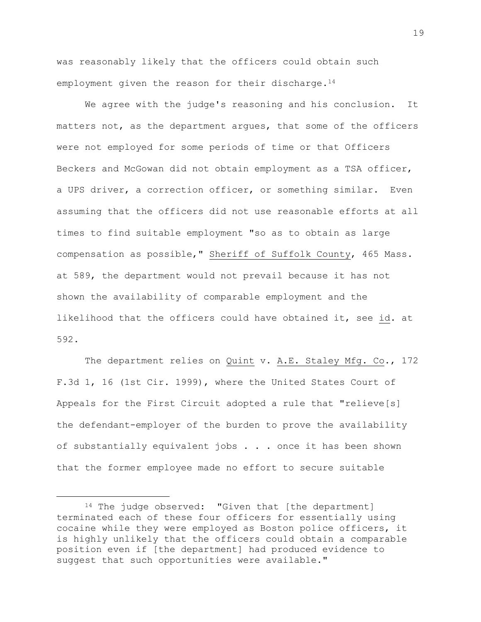was reasonably likely that the officers could obtain such employment given the reason for their discharge.<sup>14</sup>

We agree with the judge's reasoning and his conclusion. It matters not, as the department argues, that some of the officers were not employed for some periods of time or that Officers Beckers and McGowan did not obtain employment as a TSA officer, a UPS driver, a correction officer, or something similar. Even assuming that the officers did not use reasonable efforts at all times to find suitable employment "so as to obtain as large compensation as possible," Sheriff of Suffolk County, 465 Mass. at 589, the department would not prevail because it has not shown the availability of comparable employment and the likelihood that the officers could have obtained it, see id. at 592.

The department relies on Quint v. A.E. Staley Mfg. Co., 172 F.3d 1, 16 (1st Cir. 1999), where the United States Court of Appeals for the First Circuit adopted a rule that "relieve[s] the defendant-employer of the burden to prove the availability of substantially equivalent jobs . . . once it has been shown that the former employee made no effort to secure suitable

L,

<sup>&</sup>lt;sup>14</sup> The judge observed: "Given that [the department] terminated each of these four officers for essentially using cocaine while they were employed as Boston police officers, it is highly unlikely that the officers could obtain a comparable position even if [the department] had produced evidence to suggest that such opportunities were available."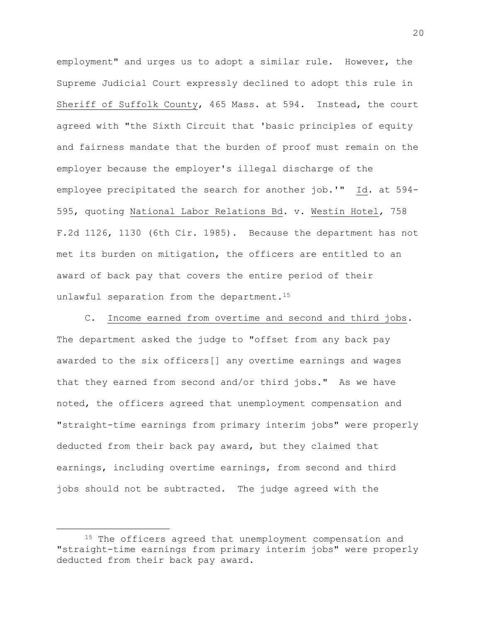employment" and urges us to adopt a similar rule. However, the Supreme Judicial Court expressly declined to adopt this rule in Sheriff of Suffolk County, 465 Mass. at 594. Instead, the court agreed with "the Sixth Circuit that 'basic principles of equity and fairness mandate that the burden of proof must remain on the employer because the employer's illegal discharge of the employee precipitated the search for another job.'" Id. at 594- 595, quoting National Labor Relations Bd. v. Westin Hotel, 758 F.2d 1126, 1130 (6th Cir. 1985). Because the department has not met its burden on mitigation, the officers are entitled to an award of back pay that covers the entire period of their unlawful separation from the department.<sup>15</sup>

C. Income earned from overtime and second and third jobs. The department asked the judge to "offset from any back pay awarded to the six officers[] any overtime earnings and wages that they earned from second and/or third jobs." As we have noted, the officers agreed that unemployment compensation and "straight-time earnings from primary interim jobs" were properly deducted from their back pay award, but they claimed that earnings, including overtime earnings, from second and third jobs should not be subtracted. The judge agreed with the

<sup>&</sup>lt;sup>15</sup> The officers agreed that unemployment compensation and "straight-time earnings from primary interim jobs" were properly deducted from their back pay award.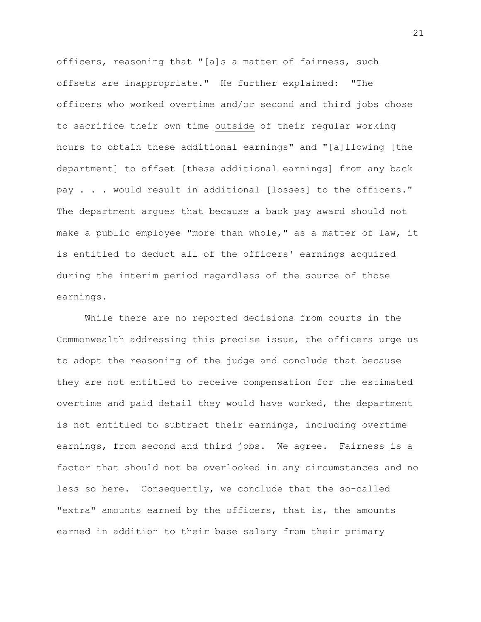officers, reasoning that "[a]s a matter of fairness, such offsets are inappropriate." He further explained: "The officers who worked overtime and/or second and third jobs chose to sacrifice their own time outside of their regular working hours to obtain these additional earnings" and "[a]llowing [the department] to offset [these additional earnings] from any back pay . . . would result in additional [losses] to the officers." The department argues that because a back pay award should not make a public employee "more than whole," as a matter of law, it is entitled to deduct all of the officers' earnings acquired during the interim period regardless of the source of those earnings.

While there are no reported decisions from courts in the Commonwealth addressing this precise issue, the officers urge us to adopt the reasoning of the judge and conclude that because they are not entitled to receive compensation for the estimated overtime and paid detail they would have worked, the department is not entitled to subtract their earnings, including overtime earnings, from second and third jobs. We agree. Fairness is a factor that should not be overlooked in any circumstances and no less so here. Consequently, we conclude that the so-called "extra" amounts earned by the officers, that is, the amounts earned in addition to their base salary from their primary